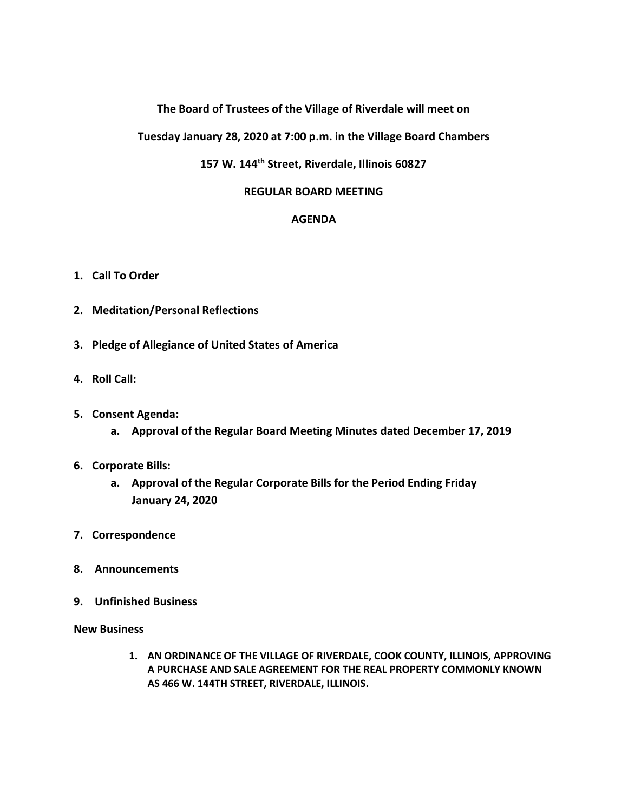## **The Board of Trustees of the Village of Riverdale will meet on**

**Tuesday January 28, 2020 at 7:00 p.m. in the Village Board Chambers**

# **157 W. 144th Street, Riverdale, Illinois 60827**

## **REGULAR BOARD MEETING**

#### **AGENDA**

- **1. Call To Order**
- **2. Meditation/Personal Reflections**
- **3. Pledge of Allegiance of United States of America**
- **4. Roll Call:**
- **5. Consent Agenda:**
	- **a. Approval of the Regular Board Meeting Minutes dated December 17, 2019**

## **6. Corporate Bills:**

- **a. Approval of the Regular Corporate Bills for the Period Ending Friday January 24, 2020**
- **7. Correspondence**
- **8. Announcements**
- **9. Unfinished Business**

**New Business**

**1. AN ORDINANCE OF THE VILLAGE OF RIVERDALE, COOK COUNTY, ILLINOIS, APPROVING A PURCHASE AND SALE AGREEMENT FOR THE REAL PROPERTY COMMONLY KNOWN AS 466 W. 144TH STREET, RIVERDALE, ILLINOIS.**